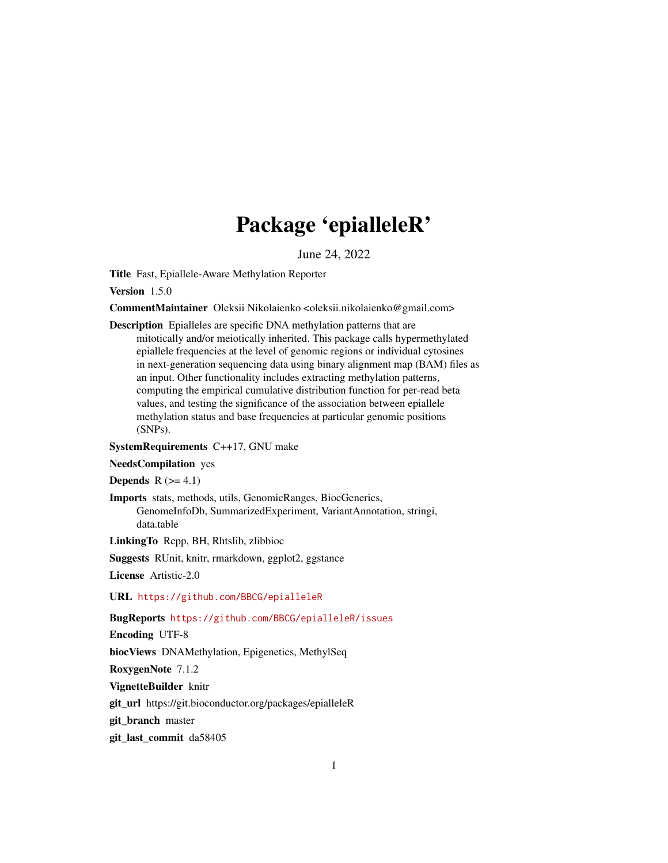# Package 'epialleleR'

June 24, 2022

<span id="page-0-0"></span>Title Fast, Epiallele-Aware Methylation Reporter

Version 1.5.0

CommentMaintainer Oleksii Nikolaienko <oleksii.nikolaienko@gmail.com>

Description Epialleles are specific DNA methylation patterns that are mitotically and/or meiotically inherited. This package calls hypermethylated epiallele frequencies at the level of genomic regions or individual cytosines in next-generation sequencing data using binary alignment map (BAM) files as an input. Other functionality includes extracting methylation patterns, computing the empirical cumulative distribution function for per-read beta values, and testing the significance of the association between epiallele methylation status and base frequencies at particular genomic positions (SNPs).

#### SystemRequirements C++17, GNU make

#### NeedsCompilation yes

**Depends**  $R$  ( $>= 4.1$ )

Imports stats, methods, utils, GenomicRanges, BiocGenerics, GenomeInfoDb, SummarizedExperiment, VariantAnnotation, stringi, data.table

LinkingTo Rcpp, BH, Rhtslib, zlibbioc

Suggests RUnit, knitr, rmarkdown, ggplot2, ggstance

License Artistic-2.0

URL <https://github.com/BBCG/epialleleR>

#### BugReports <https://github.com/BBCG/epialleleR/issues>

Encoding UTF-8

biocViews DNAMethylation, Epigenetics, MethylSeq

RoxygenNote 7.1.2

VignetteBuilder knitr

git\_url https://git.bioconductor.org/packages/epialleleR

git branch master

git\_last\_commit da58405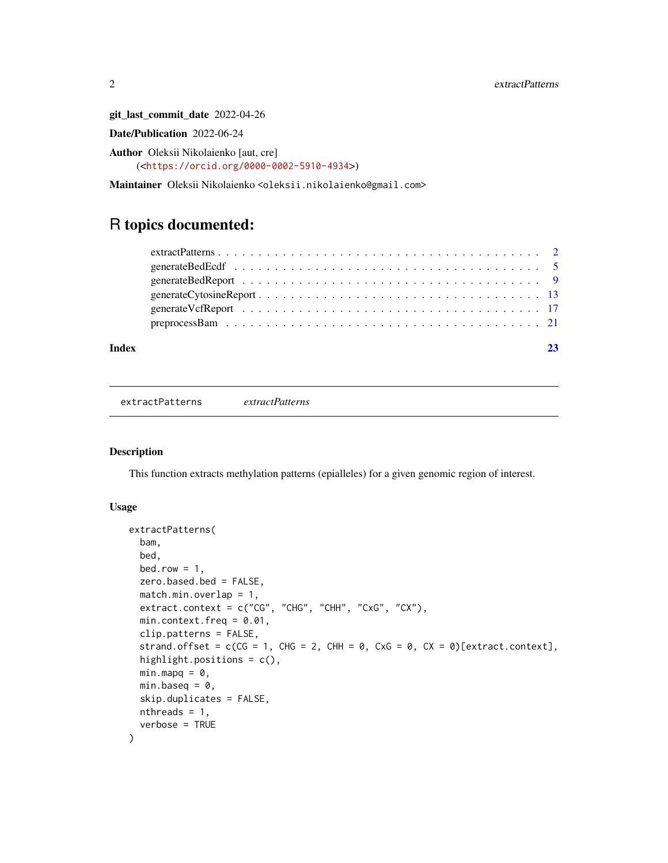git\_last\_commit\_date 2022-04-26

Date/Publication 2022-06-24

Author Oleksii Nikolaienko [aut, cre] (<<https://orcid.org/0000-0002-5910-4934>>)

Maintainer Oleksii Nikolaienko <oleksii.nikolaienko@gmail.com>

## R topics documented:

| Index |  |
|-------|--|
|       |  |
|       |  |
|       |  |
|       |  |
|       |  |
|       |  |

<span id="page-1-1"></span>extractPatterns *extractPatterns*

#### Description

This function extracts methylation patterns (epialleles) for a given genomic region of interest.

#### Usage

```
extractPatterns(
 bam,
 bed,
 bed.row = 1,
 zero.based.bed = FALSE,
 match.min. overlap = 1,extract.context = c("CG", "CHG", "CHH", "CxG", "CX"),
 min.context.freq = 0.01,
 clip.patterns = FALSE,
 strand.offset = c(CG = 1, CHG = 2, CHH = 0, CxG = 0, CX = 0)[extract.context],highlight.positions = c(),
 minmapq = 0,
 min.baseq = 0,
  skip.duplicates = FALSE,
 nthreads = 1,
  verbose = TRUE
)
```
<span id="page-1-0"></span>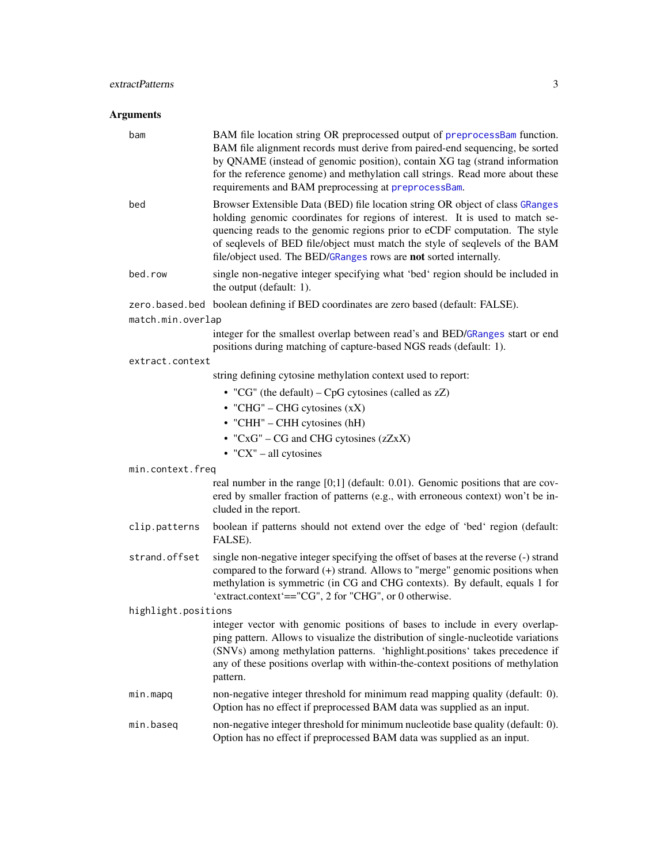### <span id="page-2-0"></span>extractPatterns 3

| bam                 | BAM file location string OR preprocessed output of preprocessBam function.<br>BAM file alignment records must derive from paired-end sequencing, be sorted<br>by QNAME (instead of genomic position), contain XG tag (strand information<br>for the reference genome) and methylation call strings. Read more about these<br>requirements and BAM preprocessing at preprocessBam.                |  |  |  |  |
|---------------------|--------------------------------------------------------------------------------------------------------------------------------------------------------------------------------------------------------------------------------------------------------------------------------------------------------------------------------------------------------------------------------------------------|--|--|--|--|
| bed                 | Browser Extensible Data (BED) file location string OR object of class GRanges<br>holding genomic coordinates for regions of interest. It is used to match se-<br>quencing reads to the genomic regions prior to eCDF computation. The style<br>of seqlevels of BED file/object must match the style of seqlevels of the BAM<br>file/object used. The BED/GRanges rows are not sorted internally. |  |  |  |  |
| bed.row             | single non-negative integer specifying what 'bed' region should be included in<br>the output (default: 1).                                                                                                                                                                                                                                                                                       |  |  |  |  |
|                     | zero.based.bed boolean defining if BED coordinates are zero based (default: FALSE).                                                                                                                                                                                                                                                                                                              |  |  |  |  |
| match.min.overlap   |                                                                                                                                                                                                                                                                                                                                                                                                  |  |  |  |  |
|                     | integer for the smallest overlap between read's and BED/GRanges start or end<br>positions during matching of capture-based NGS reads (default: 1).                                                                                                                                                                                                                                               |  |  |  |  |
| extract.context     |                                                                                                                                                                                                                                                                                                                                                                                                  |  |  |  |  |
|                     | string defining cytosine methylation context used to report:                                                                                                                                                                                                                                                                                                                                     |  |  |  |  |
|                     | • "CG" (the default) – CpG cytosines (called as $zZ$ )                                                                                                                                                                                                                                                                                                                                           |  |  |  |  |
|                     | • "CHG" – CHG cytosines $(xX)$                                                                                                                                                                                                                                                                                                                                                                   |  |  |  |  |
|                     | • "CHH" - CHH cytosines (hH)                                                                                                                                                                                                                                                                                                                                                                     |  |  |  |  |
|                     | • " $CxG$ " – CG and CHG cytosines ( $zZxx$ )                                                                                                                                                                                                                                                                                                                                                    |  |  |  |  |
|                     | $\bullet$ "CX" – all cytosines                                                                                                                                                                                                                                                                                                                                                                   |  |  |  |  |
| min.context.freq    |                                                                                                                                                                                                                                                                                                                                                                                                  |  |  |  |  |
|                     | real number in the range [0;1] (default: 0.01). Genomic positions that are cov-<br>ered by smaller fraction of patterns (e.g., with erroneous context) won't be in-<br>cluded in the report.                                                                                                                                                                                                     |  |  |  |  |
| clip.patterns       | boolean if patterns should not extend over the edge of 'bed' region (default:<br>FALSE).                                                                                                                                                                                                                                                                                                         |  |  |  |  |
| strand.offset       | single non-negative integer specifying the offset of bases at the reverse (-) strand<br>compared to the forward (+) strand. Allows to "merge" genomic positions when<br>methylation is symmetric (in CG and CHG contexts). By default, equals 1 for<br>'extract.context'=="CG", 2 for "CHG", or 0 otherwise.                                                                                     |  |  |  |  |
| highlight.positions |                                                                                                                                                                                                                                                                                                                                                                                                  |  |  |  |  |
|                     | integer vector with genomic positions of bases to include in every overlap-<br>ping pattern. Allows to visualize the distribution of single-nucleotide variations<br>(SNVs) among methylation patterns. 'highlight.positions' takes precedence if<br>any of these positions overlap with within-the-context positions of methylation<br>pattern.                                                 |  |  |  |  |
| min.mapq            | non-negative integer threshold for minimum read mapping quality (default: 0).<br>Option has no effect if preprocessed BAM data was supplied as an input.                                                                                                                                                                                                                                         |  |  |  |  |
| min.baseq           | non-negative integer threshold for minimum nucleotide base quality (default: 0).<br>Option has no effect if preprocessed BAM data was supplied as an input.                                                                                                                                                                                                                                      |  |  |  |  |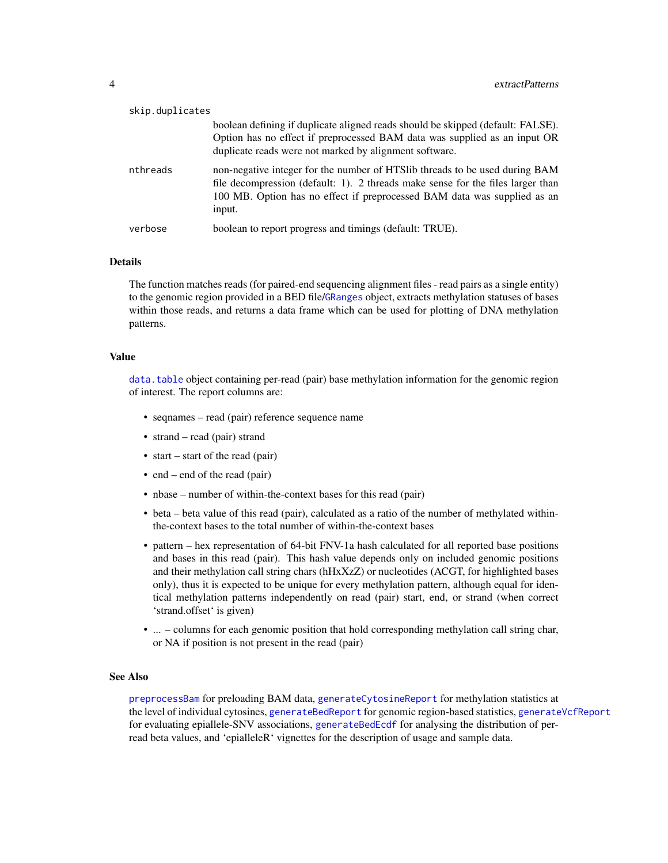<span id="page-3-0"></span>

| skip.duplicates |                                                                                                                                                                                                                                                      |
|-----------------|------------------------------------------------------------------------------------------------------------------------------------------------------------------------------------------------------------------------------------------------------|
|                 | boolean defining if duplicate aligned reads should be skipped (default: FALSE).<br>Option has no effect if preprocessed BAM data was supplied as an input OR<br>duplicate reads were not marked by alignment software.                               |
| nthreads        | non-negative integer for the number of HTSlib threads to be used during BAM<br>file decompression (default: 1). 2 threads make sense for the files larger than<br>100 MB. Option has no effect if preprocessed BAM data was supplied as an<br>input. |
| verbose         | boolean to report progress and timings (default: TRUE).                                                                                                                                                                                              |

The function matches reads (for paired-end sequencing alignment files - read pairs as a single entity) to the genomic region provided in a BED file/[GRanges](#page-0-0) object, extracts methylation statuses of bases within those reads, and returns a data frame which can be used for plotting of DNA methylation patterns.

#### Value

[data.table](#page-0-0) object containing per-read (pair) base methylation information for the genomic region of interest. The report columns are:

- seqnames read (pair) reference sequence name
- strand read (pair) strand
- start start of the read (pair)
- end end of the read (pair)
- nbase number of within-the-context bases for this read (pair)
- beta beta value of this read (pair), calculated as a ratio of the number of methylated withinthe-context bases to the total number of within-the-context bases
- pattern hex representation of 64-bit FNV-1a hash calculated for all reported base positions and bases in this read (pair). This hash value depends only on included genomic positions and their methylation call string chars (hHxXzZ) or nucleotides (ACGT, for highlighted bases only), thus it is expected to be unique for every methylation pattern, although equal for identical methylation patterns independently on read (pair) start, end, or strand (when correct 'strand.offset' is given)
- ... columns for each genomic position that hold corresponding methylation call string char, or NA if position is not present in the read (pair)

#### See Also

[preprocessBam](#page-20-1) for preloading BAM data, [generateCytosineReport](#page-12-1) for methylation statistics at the level of individual cytosines, [generateBedReport](#page-8-1) for genomic region-based statistics, [generateVcfReport](#page-16-1) for evaluating epiallele-SNV associations, [generateBedEcdf](#page-4-1) for analysing the distribution of perread beta values, and 'epialleleR' vignettes for the description of usage and sample data.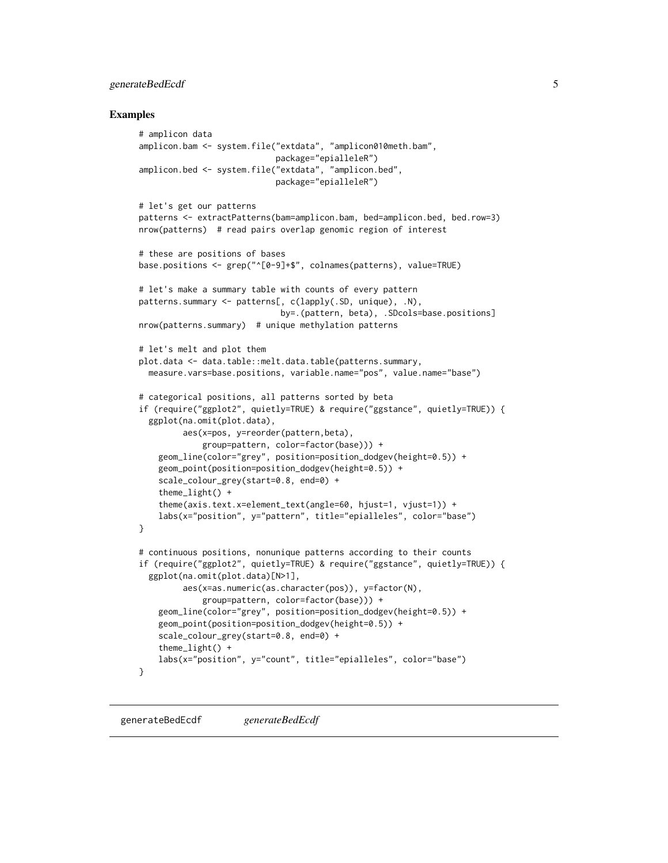#### <span id="page-4-0"></span>generateBedEcdf 5

#### Examples

```
# amplicon data
amplicon.bam <- system.file("extdata", "amplicon010meth.bam",
                            package="epialleleR")
amplicon.bed <- system.file("extdata", "amplicon.bed",
                            package="epialleleR")
# let's get our patterns
patterns <- extractPatterns(bam=amplicon.bam, bed=amplicon.bed, bed.row=3)
nrow(patterns) # read pairs overlap genomic region of interest
# these are positions of bases
base.positions <- grep("^[0-9]+$", colnames(patterns), value=TRUE)
# let's make a summary table with counts of every pattern
patterns.summary <- patterns[, c(lapply(.SD, unique), .N),
                             by=.(pattern, beta), .SDcols=base.positions]
nrow(patterns.summary) # unique methylation patterns
# let's melt and plot them
plot.data <- data.table::melt.data.table(patterns.summary,
  measure.vars=base.positions, variable.name="pos", value.name="base")
# categorical positions, all patterns sorted by beta
if (require("ggplot2", quietly=TRUE) & require("ggstance", quietly=TRUE)) {
  ggplot(na.omit(plot.data),
         aes(x=pos, y=reorder(pattern,beta),
             group=pattern, color=factor(base))) +
    geom_line(color="grey", position=position_dodgev(height=0.5)) +
    geom_point(position=position_dodgev(height=0.5)) +
    scale_colour_grey(start=0.8, end=0) +
    theme_light() +
    theme(axis.text.x=element_text(angle=60, hjust=1, vjust=1)) +
    labs(x="position", y="pattern", title="epialleles", color="base")
}
# continuous positions, nonunique patterns according to their counts
if (require("ggplot2", quietly=TRUE) & require("ggstance", quietly=TRUE)) {
  ggplot(na.omit(plot.data)[N>1],
         aes(x=as.numeric(as.character(pos)), y=factor(N),
             group=pattern, color=factor(base))) +
    geom_line(color="grey", position=position_dodgev(height=0.5)) +
    geom_point(position=position_dodgev(height=0.5)) +
    scale_colour_grey(start=0.8, end=0) +
    theme_light() +
    labs(x="position", y="count", title="epialleles", color="base")
}
```
<span id="page-4-1"></span>generateBedEcdf *generateBedEcdf*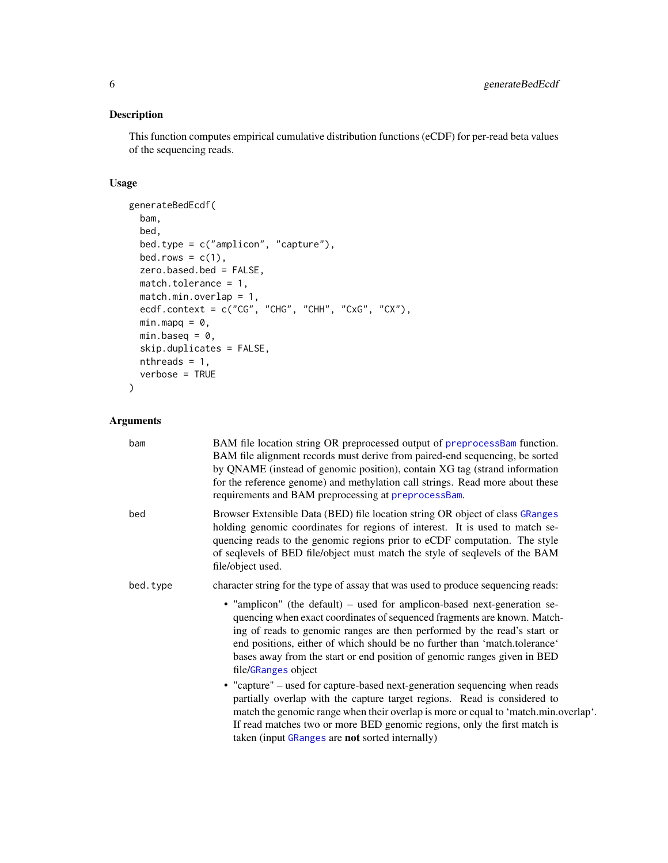#### <span id="page-5-0"></span>Description

This function computes empirical cumulative distribution functions (eCDF) for per-read beta values of the sequencing reads.

#### Usage

```
generateBedEcdf(
 bam,
 bed,
 bed.type = c("amplicon", "capture"),
 bed.rows = c(1),
  zero.based.bed = FALSE,
 match.tolerance = 1,
 match.min.overlap = 1,
 ecdf.context = c("CG", "CHG", "CHH", "CxG", "CX"),
 minmapq = 0,
 min.\text{baseq} = \emptyset,skip.duplicates = FALSE,
 nthreads = 1,verbose = TRUE
\mathcal{L}
```

| bam      | BAM file location string OR preprocessed output of preprocessBam function.<br>BAM file alignment records must derive from paired-end sequencing, be sorted<br>by QNAME (instead of genomic position), contain XG tag (strand information<br>for the reference genome) and methylation call strings. Read more about these<br>requirements and BAM preprocessing at preprocessBam.                                 |
|----------|-------------------------------------------------------------------------------------------------------------------------------------------------------------------------------------------------------------------------------------------------------------------------------------------------------------------------------------------------------------------------------------------------------------------|
| bed      | Browser Extensible Data (BED) file location string OR object of class GRanges<br>holding genomic coordinates for regions of interest. It is used to match se-<br>quencing reads to the genomic regions prior to eCDF computation. The style<br>of seqlevels of BED file/object must match the style of seqlevels of the BAM<br>file/object used.                                                                  |
| bed.type | character string for the type of assay that was used to produce sequencing reads:                                                                                                                                                                                                                                                                                                                                 |
|          | • "amplicon" (the default) – used for amplicon-based next-generation se-<br>quencing when exact coordinates of sequenced fragments are known. Match-<br>ing of reads to genomic ranges are then performed by the read's start or<br>end positions, either of which should be no further than 'match.tolerance'<br>bases away from the start or end position of genomic ranges given in BED<br>file/GRanges object |
|          | • "capture" - used for capture-based next-generation sequencing when reads<br>partially overlap with the capture target regions. Read is considered to<br>match the genomic range when their overlap is more or equal to 'match.min.overlap'.<br>If read matches two or more BED genomic regions, only the first match is<br>taken (input GRanges are not sorted internally)                                      |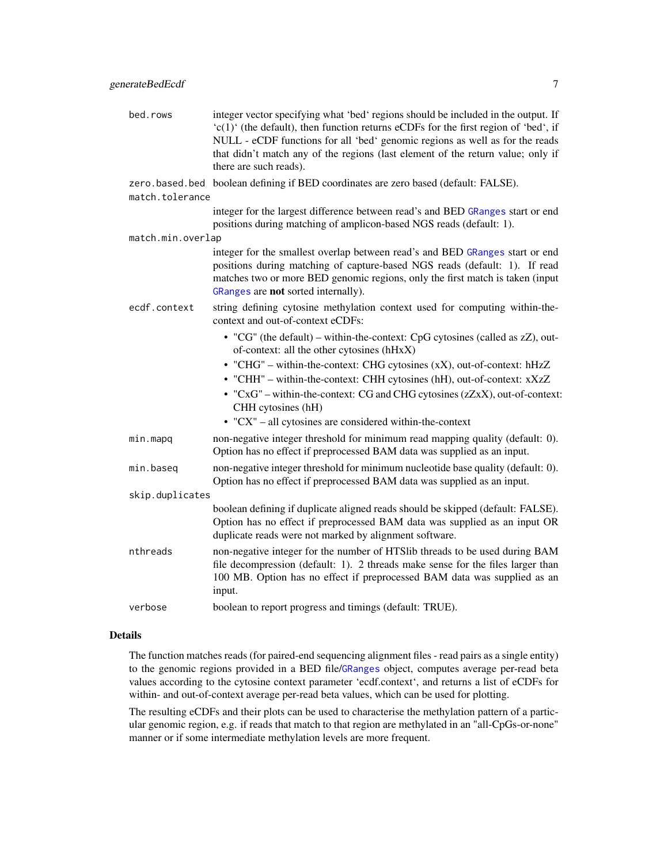<span id="page-6-0"></span>

| bed.rows          | integer vector specifying what 'bed' regions should be included in the output. If<br>'c(1)' (the default), then function returns eCDFs for the first region of 'bed', if<br>NULL - eCDF functions for all 'bed' genomic regions as well as for the reads<br>that didn't match any of the regions (last element of the return value; only if<br>there are such reads). |  |  |  |
|-------------------|-----------------------------------------------------------------------------------------------------------------------------------------------------------------------------------------------------------------------------------------------------------------------------------------------------------------------------------------------------------------------|--|--|--|
| match.tolerance   | zero.based.bed boolean defining if BED coordinates are zero based (default: FALSE).                                                                                                                                                                                                                                                                                   |  |  |  |
|                   | integer for the largest difference between read's and BED GRanges start or end<br>positions during matching of amplicon-based NGS reads (default: 1).                                                                                                                                                                                                                 |  |  |  |
| match.min.overlap |                                                                                                                                                                                                                                                                                                                                                                       |  |  |  |
|                   | integer for the smallest overlap between read's and BED GRanges start or end<br>positions during matching of capture-based NGS reads (default: 1). If read<br>matches two or more BED genomic regions, only the first match is taken (input<br>GRanges are not sorted internally).                                                                                    |  |  |  |
| ecdf.context      | string defining cytosine methylation context used for computing within-the-<br>context and out-of-context eCDFs:                                                                                                                                                                                                                                                      |  |  |  |
|                   | • "CG" (the default) – within-the-context: CpG cytosines (called as zZ), out-<br>of-context: all the other cytosines (hHxX)                                                                                                                                                                                                                                           |  |  |  |
|                   | • "CHG" - within-the-context: CHG cytosines (xX), out-of-context: hHzZ                                                                                                                                                                                                                                                                                                |  |  |  |
|                   | • "CHH" - within-the-context: CHH cytosines (hH), out-of-context: xXzZ                                                                                                                                                                                                                                                                                                |  |  |  |
|                   | • " $CxG$ " – within-the-context: CG and CHG cytosines ( $zZxx$ ), out-of-context:<br>CHH cytosines (hH)                                                                                                                                                                                                                                                              |  |  |  |
|                   | $\cdot$ "CX" – all cytosines are considered within-the-context                                                                                                                                                                                                                                                                                                        |  |  |  |
| min.mapq          | non-negative integer threshold for minimum read mapping quality (default: 0).<br>Option has no effect if preprocessed BAM data was supplied as an input.                                                                                                                                                                                                              |  |  |  |
| min.baseq         | non-negative integer threshold for minimum nucleotide base quality (default: 0).<br>Option has no effect if preprocessed BAM data was supplied as an input.                                                                                                                                                                                                           |  |  |  |
| skip.duplicates   |                                                                                                                                                                                                                                                                                                                                                                       |  |  |  |
|                   | boolean defining if duplicate aligned reads should be skipped (default: FALSE).<br>Option has no effect if preprocessed BAM data was supplied as an input OR<br>duplicate reads were not marked by alignment software.                                                                                                                                                |  |  |  |
| nthreads          | non-negative integer for the number of HTSlib threads to be used during BAM<br>file decompression (default: 1). 2 threads make sense for the files larger than<br>100 MB. Option has no effect if preprocessed BAM data was supplied as an<br>input.                                                                                                                  |  |  |  |
| verbose           | boolean to report progress and timings (default: TRUE).                                                                                                                                                                                                                                                                                                               |  |  |  |

The function matches reads (for paired-end sequencing alignment files - read pairs as a single entity) to the genomic regions provided in a BED file/[GRanges](#page-0-0) object, computes average per-read beta values according to the cytosine context parameter 'ecdf.context', and returns a list of eCDFs for within- and out-of-context average per-read beta values, which can be used for plotting.

The resulting eCDFs and their plots can be used to characterise the methylation pattern of a particular genomic region, e.g. if reads that match to that region are methylated in an "all-CpGs-or-none" manner or if some intermediate methylation levels are more frequent.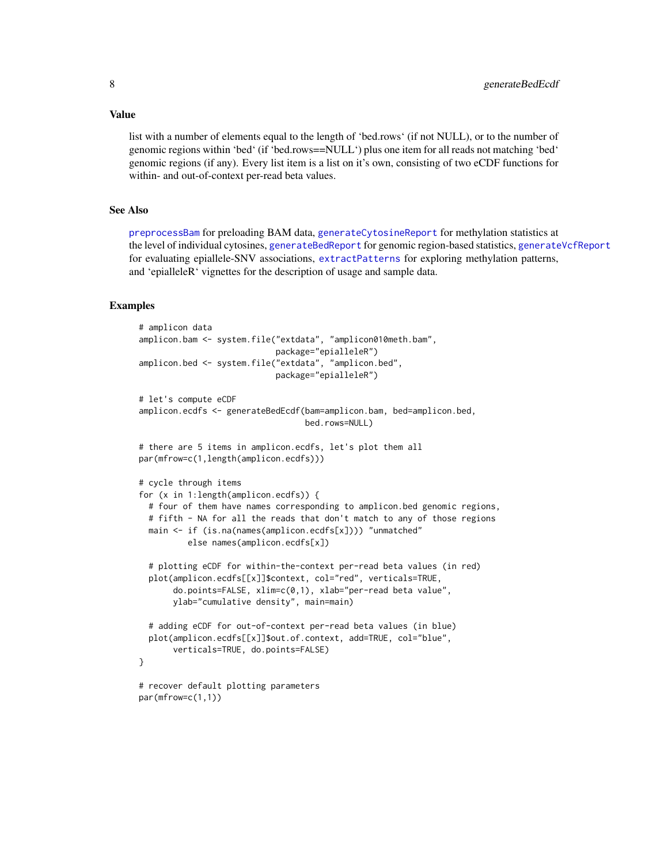#### Value

list with a number of elements equal to the length of 'bed.rows' (if not NULL), or to the number of genomic regions within 'bed' (if 'bed.rows==NULL') plus one item for all reads not matching 'bed' genomic regions (if any). Every list item is a list on it's own, consisting of two eCDF functions for within- and out-of-context per-read beta values.

#### See Also

[preprocessBam](#page-20-1) for preloading BAM data, [generateCytosineReport](#page-12-1) for methylation statistics at the level of individual cytosines, [generateBedReport](#page-8-1) for genomic region-based statistics, [generateVcfReport](#page-16-1) for evaluating epiallele-SNV associations, [extractPatterns](#page-1-1) for exploring methylation patterns, and 'epialleleR' vignettes for the description of usage and sample data.

#### Examples

```
# amplicon data
amplicon.bam <- system.file("extdata", "amplicon010meth.bam",
                            package="epialleleR")
amplicon.bed <- system.file("extdata", "amplicon.bed",
                            package="epialleleR")
# let's compute eCDF
amplicon.ecdfs <- generateBedEcdf(bam=amplicon.bam, bed=amplicon.bed,
                                  bed.rows=NULL)
# there are 5 items in amplicon.ecdfs, let's plot them all
par(mfrow=c(1,length(amplicon.ecdfs)))
# cycle through items
for (x in 1:length(amplicon.ecdfs)) {
  # four of them have names corresponding to amplicon.bed genomic regions,
  # fifth - NA for all the reads that don't match to any of those regions
  main <- if (is.na(names(amplicon.ecdfs[x]))) "unmatched"
          else names(amplicon.ecdfs[x])
  # plotting eCDF for within-the-context per-read beta values (in red)
  plot(amplicon.ecdfs[[x]]$context, col="red", verticals=TRUE,
       do.points=FALSE, xlim=c(0,1), xlab="per-read beta value",
       ylab="cumulative density", main=main)
  # adding eCDF for out-of-context per-read beta values (in blue)
  plot(amplicon.ecdfs[[x]]$out.of.context, add=TRUE, col="blue",
       verticals=TRUE, do.points=FALSE)
}
# recover default plotting parameters
par(mfrow=c(1,1))
```
<span id="page-7-0"></span>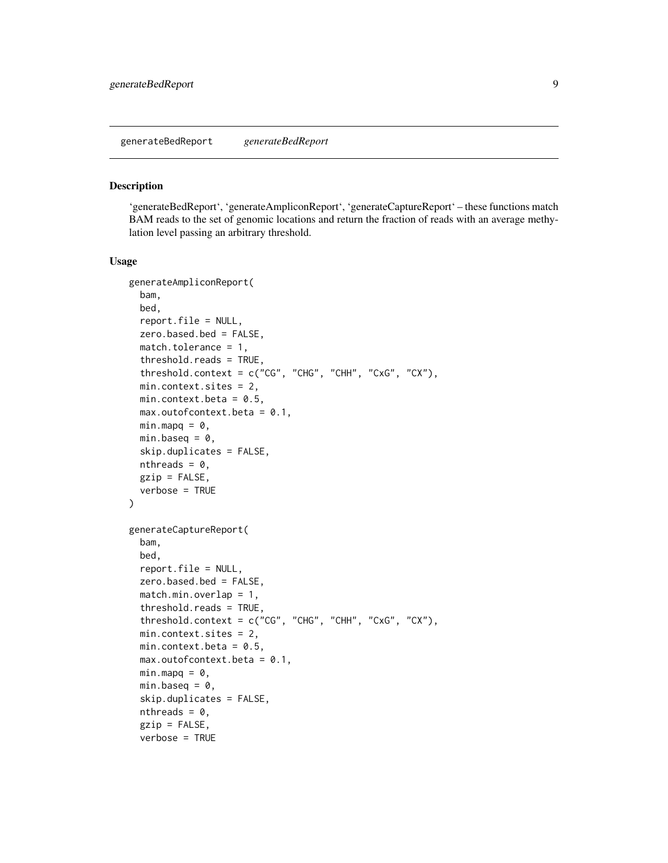#### <span id="page-8-1"></span><span id="page-8-0"></span>Description

'generateBedReport', 'generateAmpliconReport', 'generateCaptureReport' – these functions match BAM reads to the set of genomic locations and return the fraction of reads with an average methylation level passing an arbitrary threshold.

#### Usage

```
generateAmpliconReport(
 bam,
 bed,
  report.file = NULL,
  zero.based.bed = FALSE,
 match.tolerance = 1,
  threshold.reads = TRUE,
  threshold.context = c("CG", "CHG", "CHH", "CxG", "CX"),
 min.context.sites = 2,
 min.context.beta = 0.5,
 max.outofcontext.beta = 0.1,
 minmapq = 0,
 min.\text{baseq} = 0,
  skip.duplicates = FALSE,
 nthreads = 0,
  gzip = FALSE,
 verbose = TRUE
\lambdagenerateCaptureReport(
 bam,
 bed,
  report.file = NULL,
  zero.based.bed = FALSE,
 match.min. overlap = 1,threshold.reads = TRUE,
  threshold.context = c("CG", "CHG", "CHH", "CxG", "CX"),
 min.context.sites = 2,
 min.context.beta = 0.5,
 max.outofcontext.beta = 0.1,
 min.maxq = 0,
 min.baseq = 0,
  skip.duplicates = FALSE,
  nthreads = 0,
  gzip = FALSE,
  verbose = TRUE
```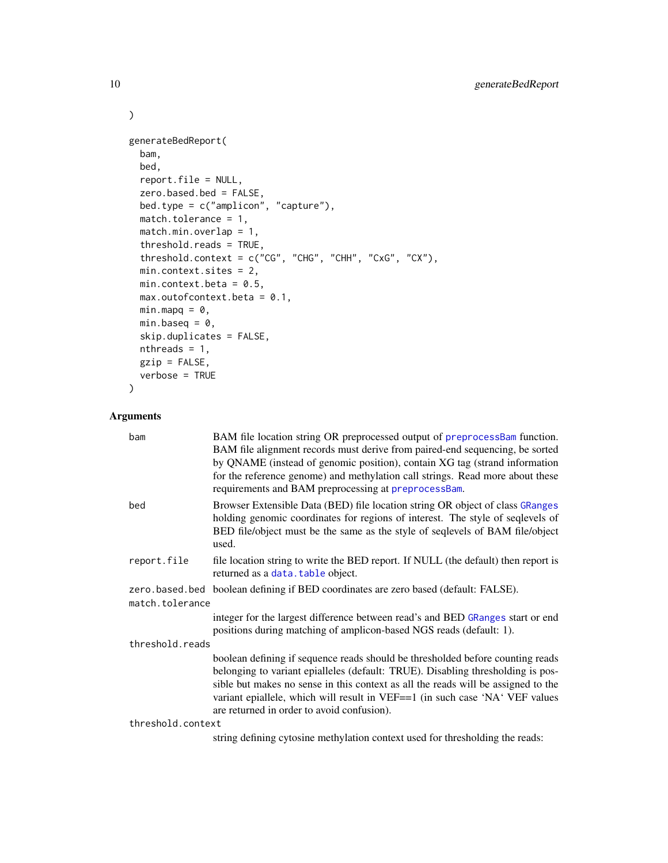```
generateBedReport(
 bam,
 bed,
 report.file = NULL,
 zero.based.bed = FALSE,
 bed.type = c("amplicon", "capture"),
 match.tolerance = 1,
 match.min.overlap = 1,
  threshold.reads = TRUE,
  threshold.context = c("CG", "CHG", "CHH", "CxG", "CX"),
 min.context.sites = 2,
 min.context.beta = 0.5,
 max.outofcontext.beta = 0.1,
 minmapq = 0,
 min.\text{baseq} = \emptyset,skip.duplicates = FALSE,
 nthreads = 1,gzip = FALSE,
 verbose = TRUE
\mathcal{L}
```
#### Arguments

| bam             | BAM file location string OR preprocessed output of preprocessBam function.<br>BAM file alignment records must derive from paired-end sequencing, be sorted<br>by QNAME (instead of genomic position), contain XG tag (strand information<br>for the reference genome) and methylation call strings. Read more about these<br>requirements and BAM preprocessing at preprocessBam.    |  |  |  |  |
|-----------------|--------------------------------------------------------------------------------------------------------------------------------------------------------------------------------------------------------------------------------------------------------------------------------------------------------------------------------------------------------------------------------------|--|--|--|--|
| bed             | Browser Extensible Data (BED) file location string OR object of class GRanges<br>holding genomic coordinates for regions of interest. The style of seqlevels of<br>BED file/object must be the same as the style of seqlevels of BAM file/object<br>used.                                                                                                                            |  |  |  |  |
| report.file     | file location string to write the BED report. If NULL (the default) then report is<br>returned as a data. table object.                                                                                                                                                                                                                                                              |  |  |  |  |
|                 | zero.based.bed boolean defining if BED coordinates are zero based (default: FALSE).                                                                                                                                                                                                                                                                                                  |  |  |  |  |
| match.tolerance |                                                                                                                                                                                                                                                                                                                                                                                      |  |  |  |  |
|                 | integer for the largest difference between read's and BED GRanges start or end<br>positions during matching of amplicon-based NGS reads (default: 1).                                                                                                                                                                                                                                |  |  |  |  |
| threshold.reads |                                                                                                                                                                                                                                                                                                                                                                                      |  |  |  |  |
|                 | boolean defining if sequence reads should be thresholded before counting reads<br>belonging to variant epialleles (default: TRUE). Disabling thresholding is pos-<br>sible but makes no sense in this context as all the reads will be assigned to the<br>variant epiallele, which will result in VEF==1 (in such case 'NA' VEF values<br>are returned in order to avoid confusion). |  |  |  |  |
|                 | threshold.context                                                                                                                                                                                                                                                                                                                                                                    |  |  |  |  |
|                 | string defining cytosine methylation context used for thresholding the reads:                                                                                                                                                                                                                                                                                                        |  |  |  |  |

<span id="page-9-0"></span>

 $\mathcal{L}$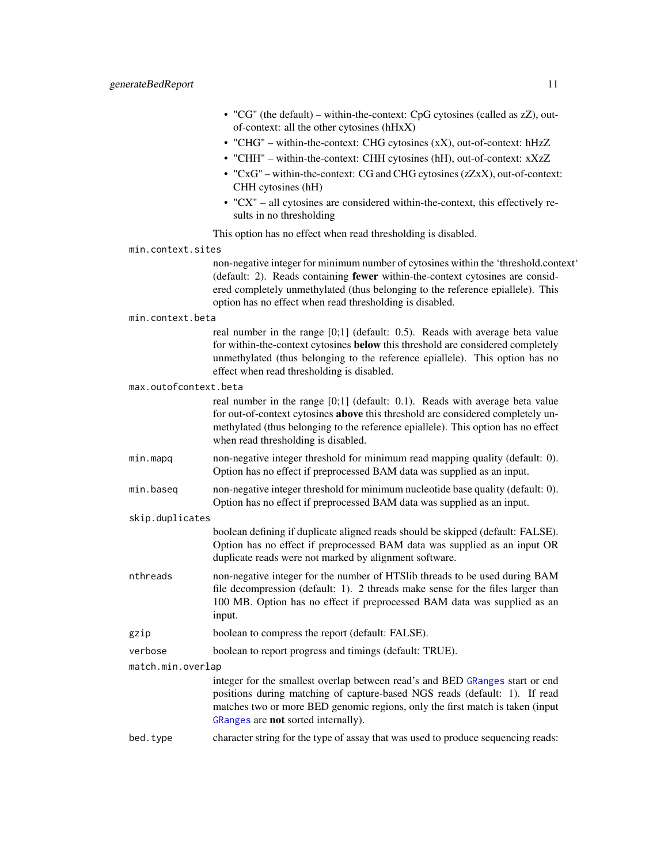- "CG" (the default) within-the-context: CpG cytosines (called as zZ), outof-context: all the other cytosines (hHxX)
- "CHG" within-the-context: CHG cytosines (xX), out-of-context: hHzZ
- "CHH" within-the-context: CHH cytosines (hH), out-of-context: xXzZ
- "CxG" within-the-context: CG and CHG cytosines (zZxX), out-of-context: CHH cytosines (hH)
- "CX" all cytosines are considered within-the-context, this effectively results in no thresholding
- This option has no effect when read thresholding is disabled.
- min.context.sites

non-negative integer for minimum number of cytosines within the 'threshold.context' (default: 2). Reads containing fewer within-the-context cytosines are considered completely unmethylated (thus belonging to the reference epiallele). This option has no effect when read thresholding is disabled.

```
min.context.beta
```
real number in the range [0;1] (default: 0.5). Reads with average beta value for within-the-context cytosines below this threshold are considered completely unmethylated (thus belonging to the reference epiallele). This option has no effect when read thresholding is disabled.

max.outofcontext.beta

real number in the range [0;1] (default: 0.1). Reads with average beta value for out-of-context cytosines above this threshold are considered completely unmethylated (thus belonging to the reference epiallele). This option has no effect when read thresholding is disabled.

- min.mapq non-negative integer threshold for minimum read mapping quality (default: 0). Option has no effect if preprocessed BAM data was supplied as an input.
- min.baseq non-negative integer threshold for minimum nucleotide base quality (default: 0). Option has no effect if preprocessed BAM data was supplied as an input.
- skip.duplicates

boolean defining if duplicate aligned reads should be skipped (default: FALSE). Option has no effect if preprocessed BAM data was supplied as an input OR duplicate reads were not marked by alignment software.

- nthreads non-negative integer for the number of HTSlib threads to be used during BAM file decompression (default: 1). 2 threads make sense for the files larger than 100 MB. Option has no effect if preprocessed BAM data was supplied as an input.
- gzip boolean to compress the report (default: FALSE).

```
verbose boolean to report progress and timings (default: TRUE).
```
match.min.overlap

integer for the smallest overlap between read's and BED [GRanges](#page-0-0) start or end positions during matching of capture-based NGS reads (default: 1). If read matches two or more BED genomic regions, only the first match is taken (input [GRanges](#page-0-0) are not sorted internally).

bed.type character string for the type of assay that was used to produce sequencing reads: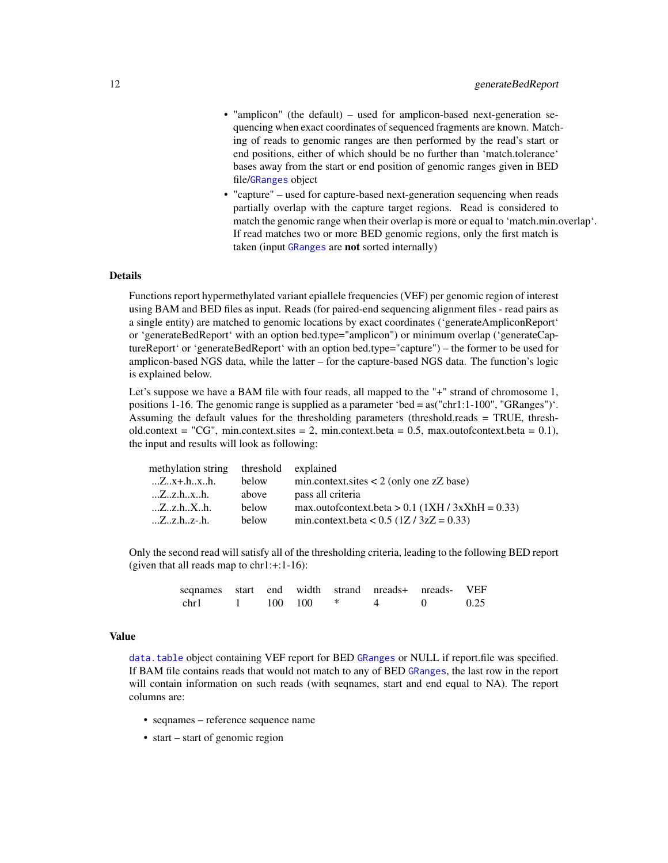- <span id="page-11-0"></span>• "amplicon" (the default) – used for amplicon-based next-generation sequencing when exact coordinates of sequenced fragments are known. Matching of reads to genomic ranges are then performed by the read's start or end positions, either of which should be no further than 'match.tolerance' bases away from the start or end position of genomic ranges given in BED file/[GRanges](#page-0-0) object
- "capture" used for capture-based next-generation sequencing when reads partially overlap with the capture target regions. Read is considered to match the genomic range when their overlap is more or equal to 'match.min.overlap'. If read matches two or more BED genomic regions, only the first match is taken (input [GRanges](#page-0-0) are not sorted internally)

Functions report hypermethylated variant epiallele frequencies (VEF) per genomic region of interest using BAM and BED files as input. Reads (for paired-end sequencing alignment files - read pairs as a single entity) are matched to genomic locations by exact coordinates ('generateAmpliconReport' or 'generateBedReport' with an option bed.type="amplicon") or minimum overlap ('generateCaptureReport' or 'generateBedReport' with an option bed.type="capture") – the former to be used for amplicon-based NGS data, while the latter – for the capture-based NGS data. The function's logic is explained below.

Let's suppose we have a BAM file with four reads, all mapped to the "+" strand of chromosome 1, positions 1-16. The genomic range is supplied as a parameter 'bed = as("chr1:1-100", "GRanges")'. Assuming the default values for the thresholding parameters (threshold.reads = TRUE, threshold.context = "CG", min.context.sites = 2, min.context.beta = 0.5, max.outofcontext.beta = 0.1), the input and results will look as following:

| threshold explained |                                                    |
|---------------------|----------------------------------------------------|
| below               | $min.context.sites < 2 (only one zZ base)$         |
| above               | pass all criteria                                  |
| below               | max.outofcontext.beta > $0.1$ (1XH / 3xXhH = 0.33) |
| below               | min.context.beta < $0.5$ (1Z / 3zZ = 0.33)         |
|                     |                                                    |

Only the second read will satisfy all of the thresholding criteria, leading to the following BED report (given that all reads map to chr1:+:1-16):

| sequames start end width strand nreads+ nreads- VEF |  |         |  |      |
|-----------------------------------------------------|--|---------|--|------|
| chr1                                                |  | 100 100 |  | 0.25 |

#### Value

[data.table](#page-0-0) object containing VEF report for BED [GRanges](#page-0-0) or NULL if report.file was specified. If BAM file contains reads that would not match to any of BED [GRanges](#page-0-0), the last row in the report will contain information on such reads (with seqnames, start and end equal to NA). The report columns are:

- seqnames reference sequence name
- start start of genomic region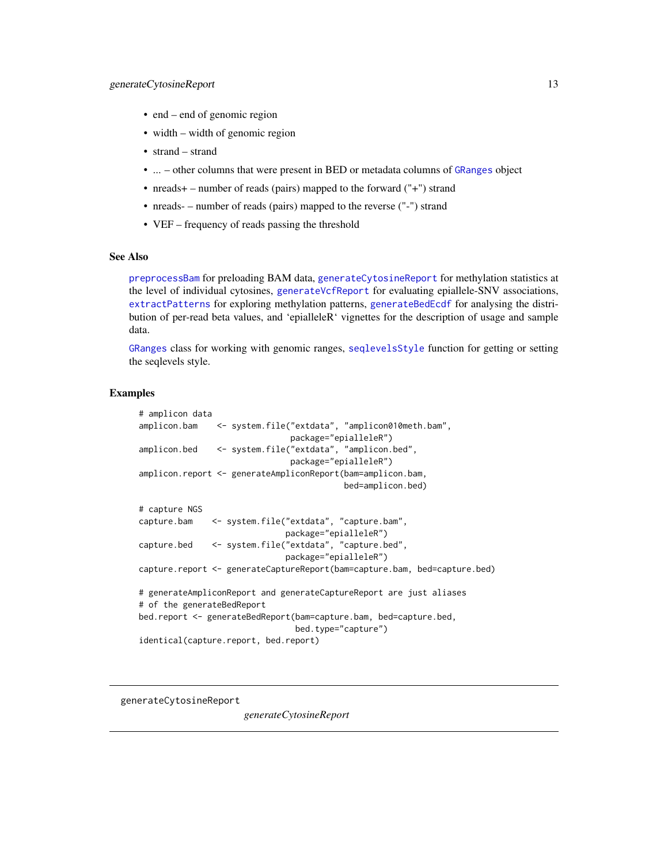- <span id="page-12-0"></span>• end – end of genomic region
- width width of genomic region
- strand strand
- ... other columns that were present in BED or metadata columns of [GRanges](#page-0-0) object
- nreads+ number of reads (pairs) mapped to the forward ("+") strand
- nreads- number of reads (pairs) mapped to the reverse ("-") strand
- VEF frequency of reads passing the threshold

#### See Also

[preprocessBam](#page-20-1) for preloading BAM data, [generateCytosineReport](#page-12-1) for methylation statistics at the level of individual cytosines, [generateVcfReport](#page-16-1) for evaluating epiallele-SNV associations, [extractPatterns](#page-1-1) for exploring methylation patterns, [generateBedEcdf](#page-4-1) for analysing the distribution of per-read beta values, and 'epialleleR' vignettes for the description of usage and sample data.

[GRanges](#page-0-0) class for working with genomic ranges, [seqlevelsStyle](#page-0-0) function for getting or setting the seqlevels style.

#### Examples

```
# amplicon data
amplicon.bam <- system.file("extdata", "amplicon010meth.bam",
                              package="epialleleR")
amplicon.bed <- system.file("extdata", "amplicon.bed",
                              package="epialleleR")
amplicon.report <- generateAmpliconReport(bam=amplicon.bam,
                                         bed=amplicon.bed)
# capture NGS
capture.bam <- system.file("extdata", "capture.bam",
                             package="epialleleR")
capture.bed <- system.file("extdata", "capture.bed",
                             package="epialleleR")
capture.report <- generateCaptureReport(bam=capture.bam, bed=capture.bed)
# generateAmpliconReport and generateCaptureReport are just aliases
# of the generateBedReport
bed.report <- generateBedReport(bam=capture.bam, bed=capture.bed,
                                bed.type="capture")
identical(capture.report, bed.report)
```
<span id="page-12-1"></span>generateCytosineReport

*generateCytosineReport*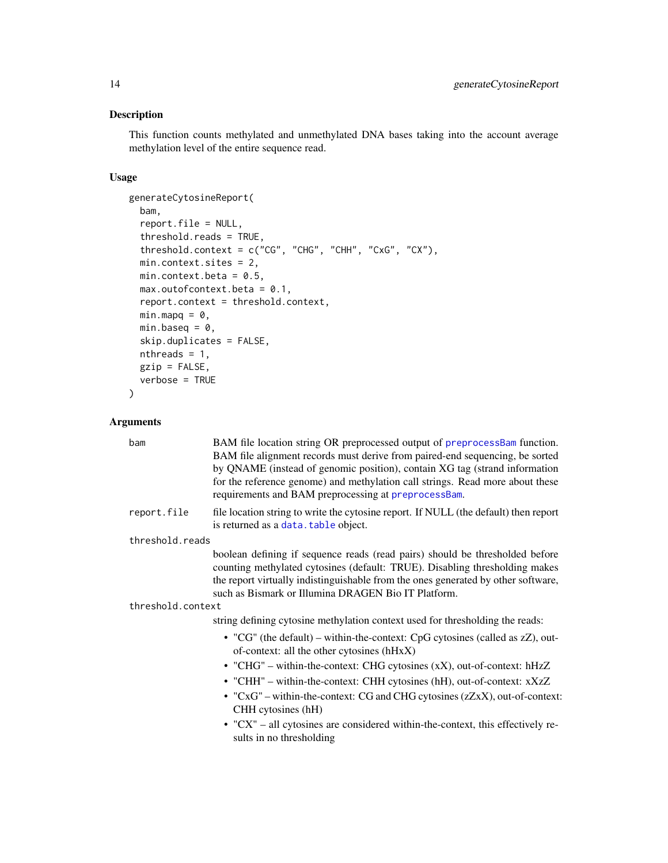#### <span id="page-13-0"></span>Description

This function counts methylated and unmethylated DNA bases taking into the account average methylation level of the entire sequence read.

#### Usage

```
generateCytosineReport(
 bam,
  report.file = NULL,
  threshold.reads = TRUE,
  threshold.context = c("CG", "CHG", "CHH", "CxG", "CX"),
 min.context.sites = 2,
 min.context.beta = 0.5,
 max.outofcontext. beta = 0.1,report.context = threshold.context,
 minmapq = 0,
 min.baseq = 0,
  skip.duplicates = FALSE,
 nthreads = 1,
 gzip = FALSE,
 verbose = TRUE
)
```

| bam                                                                           | BAM file location string OR preprocessed output of preprocessBam function.<br>BAM file alignment records must derive from paired-end sequencing, be sorted<br>by QNAME (instead of genomic position), contain XG tag (strand information<br>for the reference genome) and methylation call strings. Read more about these<br>requirements and BAM preprocessing at preprocessBam. |  |  |  |  |
|-------------------------------------------------------------------------------|-----------------------------------------------------------------------------------------------------------------------------------------------------------------------------------------------------------------------------------------------------------------------------------------------------------------------------------------------------------------------------------|--|--|--|--|
| report.file                                                                   | file location string to write the cytosine report. If NULL (the default) then report<br>is returned as a data. table object.                                                                                                                                                                                                                                                      |  |  |  |  |
| threshold.reads                                                               |                                                                                                                                                                                                                                                                                                                                                                                   |  |  |  |  |
|                                                                               | boolean defining if sequence reads (read pairs) should be thresholded before<br>counting methylated cytosines (default: TRUE). Disabling thresholding makes<br>the report virtually indistinguishable from the ones generated by other software,<br>such as Bismark or Illumina DRAGEN Bio IT Platform.                                                                           |  |  |  |  |
| threshold.context                                                             |                                                                                                                                                                                                                                                                                                                                                                                   |  |  |  |  |
| string defining cytosine methylation context used for thresholding the reads: |                                                                                                                                                                                                                                                                                                                                                                                   |  |  |  |  |
|                                                                               | • "CG" (the default) – within-the-context: CpG cytosines (called as $zZ$ ), out-<br>of-context: all the other cytosines (hHxX)                                                                                                                                                                                                                                                    |  |  |  |  |
|                                                                               | • "CHG" - within-the-context: CHG cytosines (xX), out-of-context: hHzZ                                                                                                                                                                                                                                                                                                            |  |  |  |  |
|                                                                               | • "CHH" – within-the-context: CHH cytosines (hH), out-of-context: xXzZ                                                                                                                                                                                                                                                                                                            |  |  |  |  |
|                                                                               | • " $CxG$ " – within-the-context: CG and CHG cytosines ( $zZxx$ ), out-of-context:<br>CHH cytosines (hH)                                                                                                                                                                                                                                                                          |  |  |  |  |
|                                                                               | • "CX" - all cytosines are considered within-the-context, this effectively re-<br>sults in no thresholding                                                                                                                                                                                                                                                                        |  |  |  |  |
|                                                                               |                                                                                                                                                                                                                                                                                                                                                                                   |  |  |  |  |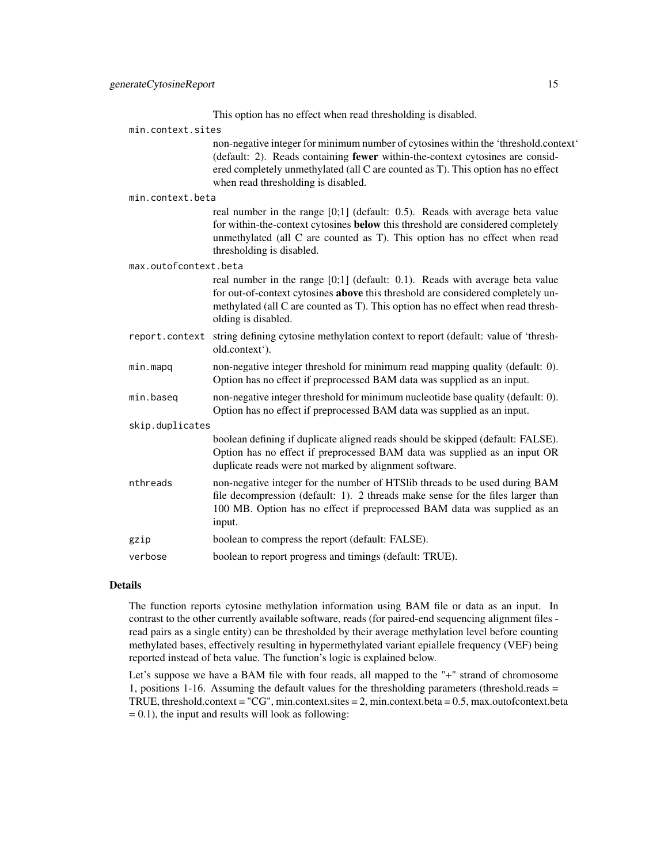This option has no effect when read thresholding is disabled.

| min.context.sites     |                                                                                                                                                                                                                                                                                                 |
|-----------------------|-------------------------------------------------------------------------------------------------------------------------------------------------------------------------------------------------------------------------------------------------------------------------------------------------|
|                       | non-negative integer for minimum number of cytosines within the 'threshold.context'<br>(default: 2). Reads containing fewer within-the-context cytosines are consid-<br>ered completely unmethylated (all C are counted as T). This option has no effect<br>when read thresholding is disabled. |
| min.context.beta      |                                                                                                                                                                                                                                                                                                 |
|                       | real number in the range $[0;1]$ (default: 0.5). Reads with average beta value<br>for within-the-context cytosines below this threshold are considered completely<br>unmethylated (all C are counted as T). This option has no effect when read<br>thresholding is disabled.                    |
| max.outofcontext.beta |                                                                                                                                                                                                                                                                                                 |
|                       | real number in the range $[0;1]$ (default: 0.1). Reads with average beta value<br>for out-of-context cytosines above this threshold are considered completely un-<br>methylated (all C are counted as T). This option has no effect when read thresh-<br>olding is disabled.                    |
| report.context        | string defining cytosine methylation context to report (default: value of 'thresh-<br>old.context').                                                                                                                                                                                            |
| min.mapq              | non-negative integer threshold for minimum read mapping quality (default: 0).<br>Option has no effect if preprocessed BAM data was supplied as an input.                                                                                                                                        |
| min.baseq             | non-negative integer threshold for minimum nucleotide base quality (default: 0).<br>Option has no effect if preprocessed BAM data was supplied as an input.                                                                                                                                     |
| skip.duplicates       |                                                                                                                                                                                                                                                                                                 |
|                       | boolean defining if duplicate aligned reads should be skipped (default: FALSE).<br>Option has no effect if preprocessed BAM data was supplied as an input OR<br>duplicate reads were not marked by alignment software.                                                                          |
| nthreads              | non-negative integer for the number of HTSlib threads to be used during BAM<br>file decompression (default: 1). 2 threads make sense for the files larger than<br>100 MB. Option has no effect if preprocessed BAM data was supplied as an<br>input.                                            |
| gzip                  | boolean to compress the report (default: FALSE).                                                                                                                                                                                                                                                |
| verbose               | boolean to report progress and timings (default: TRUE).                                                                                                                                                                                                                                         |

#### Details

The function reports cytosine methylation information using BAM file or data as an input. In contrast to the other currently available software, reads (for paired-end sequencing alignment files read pairs as a single entity) can be thresholded by their average methylation level before counting methylated bases, effectively resulting in hypermethylated variant epiallele frequency (VEF) being reported instead of beta value. The function's logic is explained below.

Let's suppose we have a BAM file with four reads, all mapped to the "+" strand of chromosome 1, positions 1-16. Assuming the default values for the thresholding parameters (threshold.reads = TRUE, threshold.context =  $"CG"$ , min.context.sites = 2, min.context.beta = 0.5, max.outofcontext.beta  $= 0.1$ ), the input and results will look as following: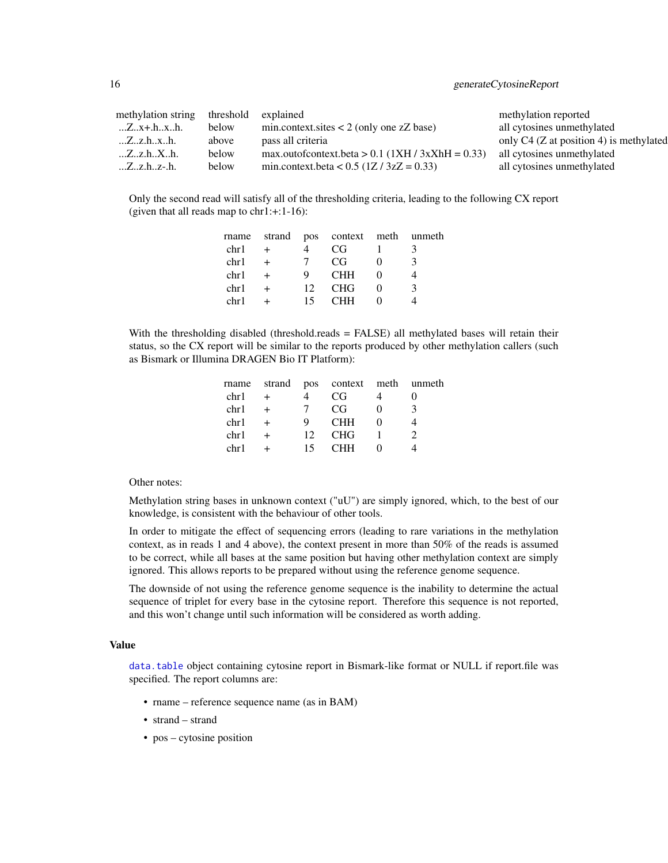<span id="page-15-0"></span>

| methylation string                        | threshold | explained                                          | methylation reported                    |
|-------------------------------------------|-----------|----------------------------------------------------|-----------------------------------------|
| $\ldots Z \ldots X + h \ldots X \ldots h$ | below     | $min.context.sizes < 2$ (only one zZ base)         | all cytosines unmethylated              |
| Z.Z.h.x.h.                                | above     | pass all criteria                                  | only C4 (Z at position 4) is methylated |
| Zz.hXh.                                   | below     | max.outofcontext.beta > $0.1$ (1XH / 3xXhH = 0.33) | all cytosines unmethylated              |
| $Zz.hz-h.$                                | below     | min.context.beta < $0.5$ (1Z / 3zZ = 0.33)         | all cytosines unmethylated              |

Only the second read will satisfy all of the thresholding criteria, leading to the following CX report (given that all reads map to chr1:+:1-16):

|      |                 | rname strand pos context meth unmeth |          |  |
|------|-----------------|--------------------------------------|----------|--|
| chr1 |                 | CG -                                 |          |  |
| chr1 | $\overline{7}$  | CG                                   | $\Omega$ |  |
| chr1 | Q               | <b>CHH</b>                           |          |  |
| chr1 | 12 <sup>1</sup> | <b>CHG</b>                           | 0        |  |
| chr1 | 15.             | <b>CHH</b>                           |          |  |

With the thresholding disabled (threshold.reads = FALSE) all methylated bases will retain their status, so the CX report will be similar to the reports produced by other methylation callers (such as Bismark or Illumina DRAGEN Bio IT Platform):

| $+$ |                 | CG.        |          |                                      |
|-----|-----------------|------------|----------|--------------------------------------|
|     |                 | CG         | $\Omega$ | κ                                    |
|     | 9               | <b>CHH</b> |          |                                      |
|     | 12 <sub>1</sub> | <b>CHG</b> |          |                                      |
|     | 15.             | CHH        |          |                                      |
|     |                 |            |          | rname strand pos context meth unmeth |

Other notes:

Methylation string bases in unknown context ("uU") are simply ignored, which, to the best of our knowledge, is consistent with the behaviour of other tools.

In order to mitigate the effect of sequencing errors (leading to rare variations in the methylation context, as in reads 1 and 4 above), the context present in more than 50% of the reads is assumed to be correct, while all bases at the same position but having other methylation context are simply ignored. This allows reports to be prepared without using the reference genome sequence.

The downside of not using the reference genome sequence is the inability to determine the actual sequence of triplet for every base in the cytosine report. Therefore this sequence is not reported, and this won't change until such information will be considered as worth adding.

#### Value

[data.table](#page-0-0) object containing cytosine report in Bismark-like format or NULL if report.file was specified. The report columns are:

- rname reference sequence name (as in BAM)
- strand strand
- pos cytosine position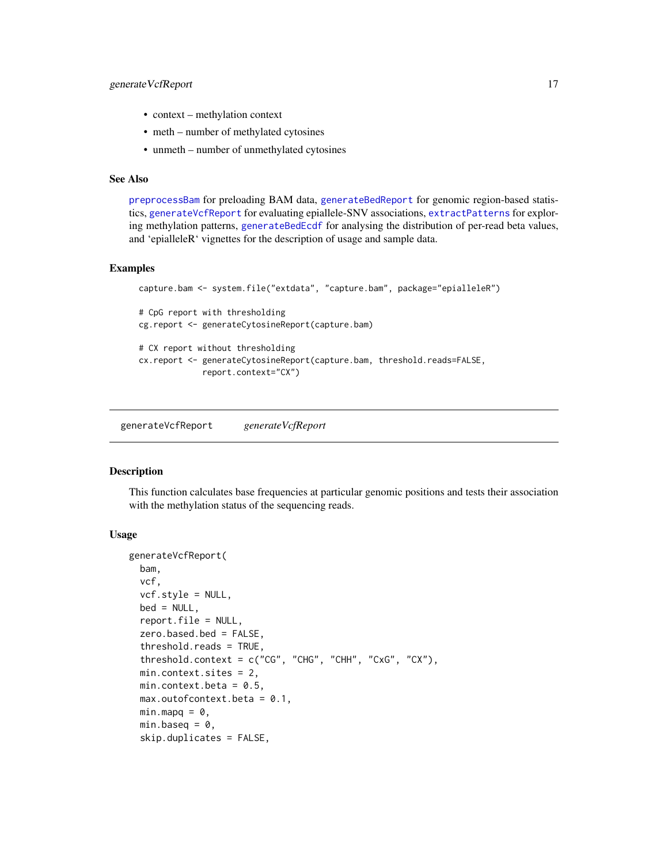#### <span id="page-16-0"></span>generate VcfReport 17

- context methylation context
- meth number of methylated cytosines
- unmeth number of unmethylated cytosines

#### See Also

[preprocessBam](#page-20-1) for preloading BAM data, [generateBedReport](#page-8-1) for genomic region-based statistics, [generateVcfReport](#page-16-1) for evaluating epiallele-SNV associations, [extractPatterns](#page-1-1) for exploring methylation patterns, [generateBedEcdf](#page-4-1) for analysing the distribution of per-read beta values, and 'epialleleR' vignettes for the description of usage and sample data.

#### Examples

```
capture.bam <- system.file("extdata", "capture.bam", package="epialleleR")
# CpG report with thresholding
cg.report <- generateCytosineReport(capture.bam)
# CX report without thresholding
cx.report <- generateCytosineReport(capture.bam, threshold.reads=FALSE,
             report.context="CX")
```
<span id="page-16-1"></span>generateVcfReport *generateVcfReport*

#### **Description**

This function calculates base frequencies at particular genomic positions and tests their association with the methylation status of the sequencing reads.

#### Usage

```
generateVcfReport(
 bam,
  vcf,
  vcf.style = NULL,
 bed = NULL,report.file = NULL,
  zero.based.bed = FALSE,
  threshold.reads = TRUE,
  threshold.context = c("CG", "CHG", "CHH", "CxG", "CX"),
 min.context.sites = 2,
 min.context.beta = 0.5,
 max.outofcontext.beta = 0.1,
 minmapq = 0,
 min.baseq = 0,
  skip.duplicates = FALSE,
```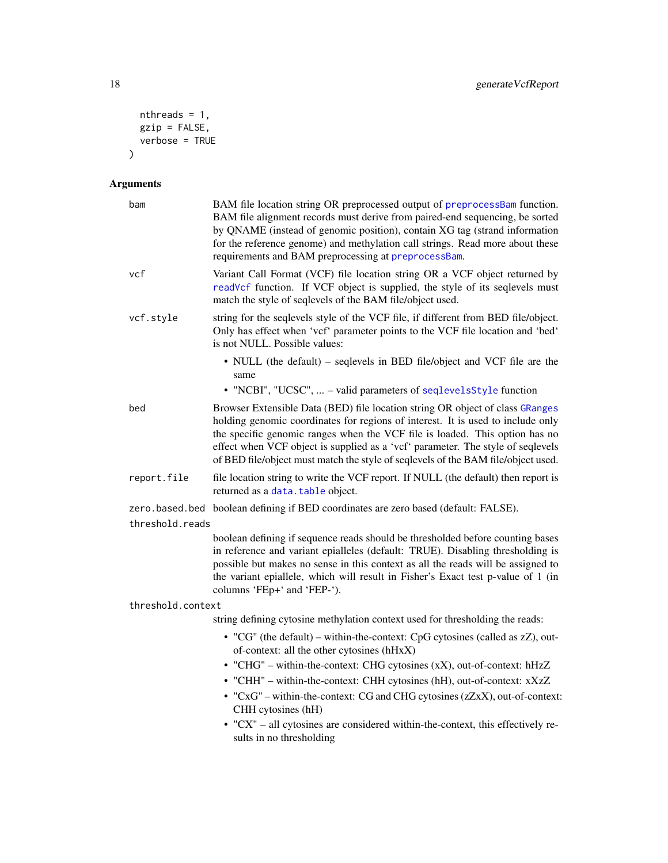```
nthreads = 1,
 gzip = FALSE,verbose = TRUE\lambda
```

| bam               | BAM file location string OR preprocessed output of preprocessBam function.<br>BAM file alignment records must derive from paired-end sequencing, be sorted<br>by QNAME (instead of genomic position), contain XG tag (strand information<br>for the reference genome) and methylation call strings. Read more about these<br>requirements and BAM preprocessing at preprocessBam.                                       |  |  |  |
|-------------------|-------------------------------------------------------------------------------------------------------------------------------------------------------------------------------------------------------------------------------------------------------------------------------------------------------------------------------------------------------------------------------------------------------------------------|--|--|--|
| vcf               | Variant Call Format (VCF) file location string OR a VCF object returned by<br>readVcf function. If VCF object is supplied, the style of its seqlevels must<br>match the style of seqlevels of the BAM file/object used.                                                                                                                                                                                                 |  |  |  |
| vcf.style         | string for the seqlevels style of the VCF file, if different from BED file/object.<br>Only has effect when 'vcf' parameter points to the VCF file location and 'bed'<br>is not NULL. Possible values:                                                                                                                                                                                                                   |  |  |  |
|                   | • NULL (the default) – seqlevels in BED file/object and VCF file are the<br>same<br>• "NCBI", "UCSC",  - valid parameters of seqlevelsStyle function                                                                                                                                                                                                                                                                    |  |  |  |
|                   |                                                                                                                                                                                                                                                                                                                                                                                                                         |  |  |  |
| bed               | Browser Extensible Data (BED) file location string OR object of class GRanges<br>holding genomic coordinates for regions of interest. It is used to include only<br>the specific genomic ranges when the VCF file is loaded. This option has no<br>effect when VCF object is supplied as a 'vcf' parameter. The style of seqlevels<br>of BED file/object must match the style of seqlevels of the BAM file/object used. |  |  |  |
| report.file       | file location string to write the VCF report. If NULL (the default) then report is<br>returned as a data. table object.                                                                                                                                                                                                                                                                                                 |  |  |  |
|                   | zero.based.bed boolean defining if BED coordinates are zero based (default: FALSE).                                                                                                                                                                                                                                                                                                                                     |  |  |  |
| threshold.reads   |                                                                                                                                                                                                                                                                                                                                                                                                                         |  |  |  |
|                   | boolean defining if sequence reads should be thresholded before counting bases<br>in reference and variant epialleles (default: TRUE). Disabling thresholding is<br>possible but makes no sense in this context as all the reads will be assigned to<br>the variant epiallele, which will result in Fisher's Exact test p-value of 1 (in<br>columns 'FEp+' and 'FEP-').                                                 |  |  |  |
| threshold.context |                                                                                                                                                                                                                                                                                                                                                                                                                         |  |  |  |
|                   | string defining cytosine methylation context used for thresholding the reads:                                                                                                                                                                                                                                                                                                                                           |  |  |  |
|                   | • "CG" (the default) – within-the-context: CpG cytosines (called as zZ), out-<br>of-context: all the other cytosines (hHxX)                                                                                                                                                                                                                                                                                             |  |  |  |
|                   | • "CHG" - within-the-context: CHG cytosines (xX), out-of-context: hHzZ                                                                                                                                                                                                                                                                                                                                                  |  |  |  |
|                   | • "CHH" - within-the-context: CHH cytosines (hH), out-of-context: xXzZ                                                                                                                                                                                                                                                                                                                                                  |  |  |  |
|                   | $\bullet$ "CxG" – within-the-context: CG and CHG cytosines (zZxX), out-of-context:<br>CHH cytosines (hH)                                                                                                                                                                                                                                                                                                                |  |  |  |
|                   | • "CX" - all cytosines are considered within-the-context, this effectively re-<br>sults in no thresholding                                                                                                                                                                                                                                                                                                              |  |  |  |
|                   |                                                                                                                                                                                                                                                                                                                                                                                                                         |  |  |  |

<span id="page-17-0"></span>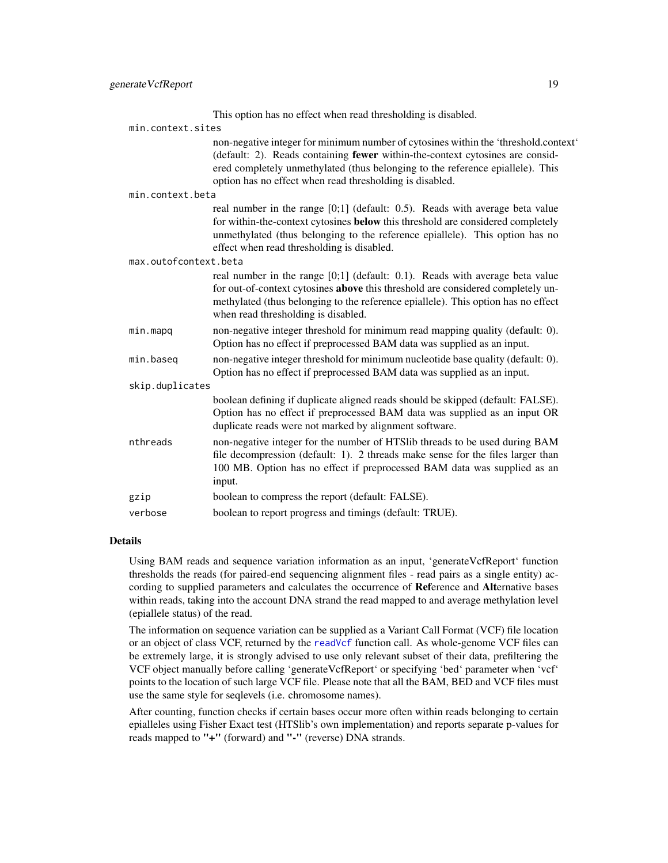|                 |                       | This option has no effect when read thresholding is disabled.                                                                                                                                                                                                                                                             |  |
|-----------------|-----------------------|---------------------------------------------------------------------------------------------------------------------------------------------------------------------------------------------------------------------------------------------------------------------------------------------------------------------------|--|
|                 | min.context.sites     |                                                                                                                                                                                                                                                                                                                           |  |
|                 |                       | non-negative integer for minimum number of cytosines within the 'threshold.context'<br>(default: 2). Reads containing <b>fewer</b> within-the-context cytosines are consid-<br>ered completely unmethylated (thus belonging to the reference epiallele). This<br>option has no effect when read thresholding is disabled. |  |
|                 | min.context.beta      |                                                                                                                                                                                                                                                                                                                           |  |
|                 |                       | real number in the range $[0;1]$ (default: 0.5). Reads with average beta value<br>for within-the-context cytosines below this threshold are considered completely<br>unmethylated (thus belonging to the reference epiallele). This option has no<br>effect when read thresholding is disabled.                           |  |
|                 | max.outofcontext.beta |                                                                                                                                                                                                                                                                                                                           |  |
|                 |                       | real number in the range $[0;1]$ (default: 0.1). Reads with average beta value<br>for out-of-context cytosines above this threshold are considered completely un-<br>methylated (thus belonging to the reference epiallele). This option has no effect<br>when read thresholding is disabled.                             |  |
|                 | min.mapq              | non-negative integer threshold for minimum read mapping quality (default: 0).<br>Option has no effect if preprocessed BAM data was supplied as an input.                                                                                                                                                                  |  |
|                 | min.baseq             | non-negative integer threshold for minimum nucleotide base quality (default: 0).<br>Option has no effect if preprocessed BAM data was supplied as an input.                                                                                                                                                               |  |
| skip.duplicates |                       |                                                                                                                                                                                                                                                                                                                           |  |
|                 |                       | boolean defining if duplicate aligned reads should be skipped (default: FALSE).<br>Option has no effect if preprocessed BAM data was supplied as an input OR<br>duplicate reads were not marked by alignment software.                                                                                                    |  |
|                 | nthreads              | non-negative integer for the number of HTSlib threads to be used during BAM<br>file decompression (default: 1). 2 threads make sense for the files larger than<br>100 MB. Option has no effect if preprocessed BAM data was supplied as an<br>input.                                                                      |  |
|                 | gzip                  | boolean to compress the report (default: FALSE).                                                                                                                                                                                                                                                                          |  |
|                 | verbose               | boolean to report progress and timings (default: TRUE).                                                                                                                                                                                                                                                                   |  |
|                 |                       |                                                                                                                                                                                                                                                                                                                           |  |

Using BAM reads and sequence variation information as an input, 'generateVcfReport' function thresholds the reads (for paired-end sequencing alignment files - read pairs as a single entity) according to supplied parameters and calculates the occurrence of Reference and Alternative bases within reads, taking into the account DNA strand the read mapped to and average methylation level (epiallele status) of the read.

The information on sequence variation can be supplied as a Variant Call Format (VCF) file location or an object of class VCF, returned by the [readVcf](#page-0-0) function call. As whole-genome VCF files can be extremely large, it is strongly advised to use only relevant subset of their data, prefiltering the VCF object manually before calling 'generateVcfReport' or specifying 'bed' parameter when 'vcf' points to the location of such large VCF file. Please note that all the BAM, BED and VCF files must use the same style for seqlevels (i.e. chromosome names).

After counting, function checks if certain bases occur more often within reads belonging to certain epialleles using Fisher Exact test (HTSlib's own implementation) and reports separate p-values for reads mapped to "+" (forward) and "-" (reverse) DNA strands.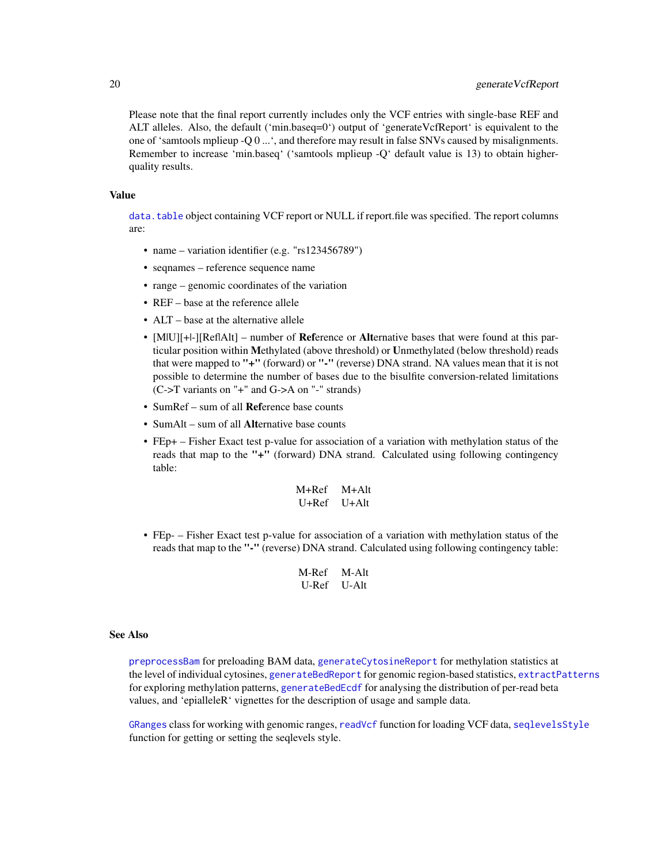<span id="page-19-0"></span>Please note that the final report currently includes only the VCF entries with single-base REF and ALT alleles. Also, the default ('min.baseq=0') output of 'generateVcfReport' is equivalent to the one of 'samtools mplieup -Q 0 ...', and therefore may result in false SNVs caused by misalignments. Remember to increase 'min.baseq' ('samtools mplieup -Q' default value is 13) to obtain higherquality results.

#### Value

[data.table](#page-0-0) object containing VCF report or NULL if report.file was specified. The report columns are:

- name variation identifier (e.g. "rs123456789")
- seqnames reference sequence name
- range genomic coordinates of the variation
- REF base at the reference allele
- ALT base at the alternative allele
- [MIU][+I-][ReflAlt] number of **Reference** or **Alternative** bases that were found at this particular position within Methylated (above threshold) or Unmethylated (below threshold) reads that were mapped to "+" (forward) or "-" (reverse) DNA strand. NA values mean that it is not possible to determine the number of bases due to the bisulfite conversion-related limitations (C->T variants on "+" and G->A on "-" strands)
- SumRef sum of all Reference base counts
- SumAlt sum of all Alternative base counts
- FEp+ Fisher Exact test p-value for association of a variation with methylation status of the reads that map to the "+" (forward) DNA strand. Calculated using following contingency table:

M+Ref M+Alt U+Ref U+Alt

• FEp- – Fisher Exact test p-value for association of a variation with methylation status of the reads that map to the "-" (reverse) DNA strand. Calculated using following contingency table:

| M-Ref | M-Alt |
|-------|-------|
| U-Ref | U-Alt |

#### See Also

[preprocessBam](#page-20-1) for preloading BAM data, [generateCytosineReport](#page-12-1) for methylation statistics at the level of individual cytosines, [generateBedReport](#page-8-1) for genomic region-based statistics, [extractPatterns](#page-1-1) for exploring methylation patterns, [generateBedEcdf](#page-4-1) for analysing the distribution of per-read beta values, and 'epialleleR' vignettes for the description of usage and sample data.

[GRanges](#page-0-0) class for working with genomic ranges, [readVcf](#page-0-0) function for loading VCF data, [seqlevelsStyle](#page-0-0) function for getting or setting the seqlevels style.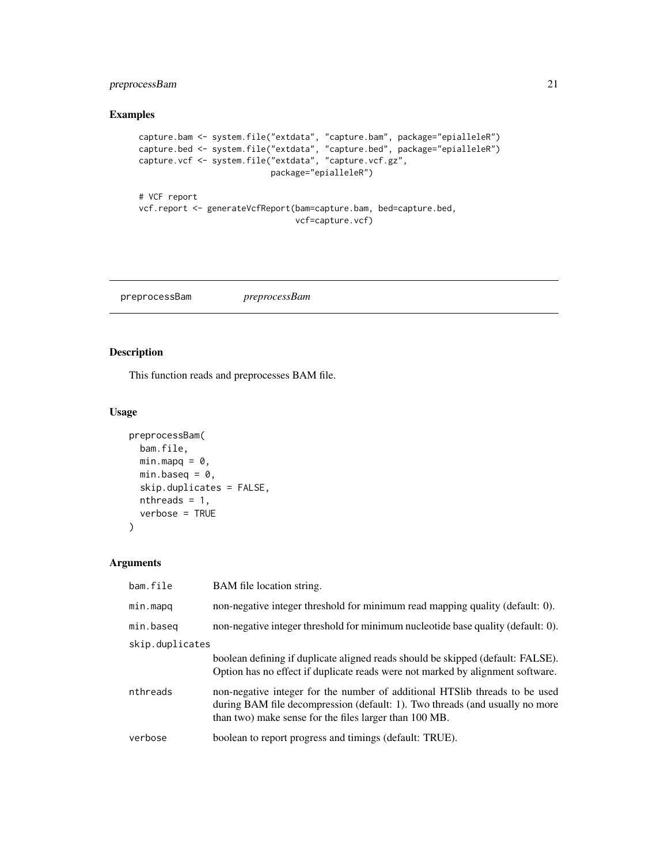#### <span id="page-20-0"></span>preprocessBam 21

#### Examples

```
capture.bam <- system.file("extdata", "capture.bam", package="epialleleR")
capture.bed <- system.file("extdata", "capture.bed", package="epialleleR")
capture.vcf <- system.file("extdata", "capture.vcf.gz",
                           package="epialleleR")
# VCF report
vcf.report <- generateVcfReport(bam=capture.bam, bed=capture.bed,
                                vcf=capture.vcf)
```
<span id="page-20-1"></span>preprocessBam *preprocessBam*

#### Description

This function reads and preprocesses BAM file.

#### Usage

```
preprocessBam(
  bam.file,
  minmapq = 0,
  min.baseq = \theta,
  skip.duplicates = FALSE,
  nthreads = 1,
  verbose = TRUE
\mathcal{L}
```

| bam.file        | BAM file location string.                                                                                                                                                                                              |  |  |
|-----------------|------------------------------------------------------------------------------------------------------------------------------------------------------------------------------------------------------------------------|--|--|
| min.mapq        | non-negative integer threshold for minimum read mapping quality (default: 0).                                                                                                                                          |  |  |
| min.baseg       | non-negative integer threshold for minimum nucleotide base quality (default: 0).                                                                                                                                       |  |  |
| skip.duplicates |                                                                                                                                                                                                                        |  |  |
|                 | boolean defining if duplicate aligned reads should be skipped (default: FALSE).<br>Option has no effect if duplicate reads were not marked by alignment software.                                                      |  |  |
| nthreads        | non-negative integer for the number of additional HTS lib threads to be used<br>during BAM file decompression (default: 1). Two threads (and usually no more<br>than two) make sense for the files larger than 100 MB. |  |  |
| verbose         | boolean to report progress and timings (default: TRUE).                                                                                                                                                                |  |  |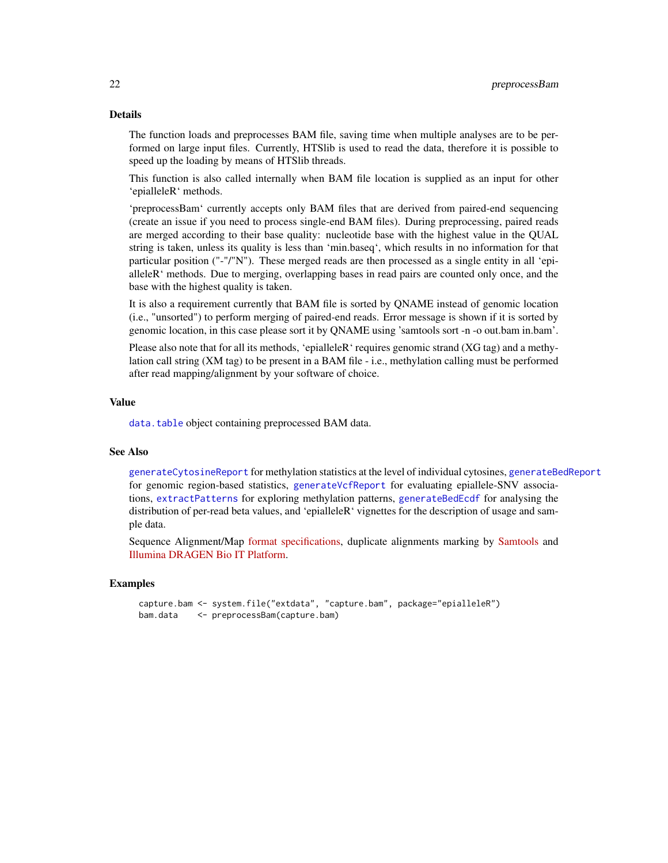The function loads and preprocesses BAM file, saving time when multiple analyses are to be performed on large input files. Currently, HTSlib is used to read the data, therefore it is possible to speed up the loading by means of HTSlib threads.

This function is also called internally when BAM file location is supplied as an input for other 'epialleleR' methods.

'preprocessBam' currently accepts only BAM files that are derived from paired-end sequencing (create an issue if you need to process single-end BAM files). During preprocessing, paired reads are merged according to their base quality: nucleotide base with the highest value in the QUAL string is taken, unless its quality is less than 'min.baseq', which results in no information for that particular position ("-"/"N"). These merged reads are then processed as a single entity in all 'epialleleR' methods. Due to merging, overlapping bases in read pairs are counted only once, and the base with the highest quality is taken.

It is also a requirement currently that BAM file is sorted by QNAME instead of genomic location (i.e., "unsorted") to perform merging of paired-end reads. Error message is shown if it is sorted by genomic location, in this case please sort it by QNAME using 'samtools sort -n -o out.bam in.bam'.

Please also note that for all its methods, 'epialleleR' requires genomic strand (XG tag) and a methylation call string (XM tag) to be present in a BAM file - i.e., methylation calling must be performed after read mapping/alignment by your software of choice.

#### Value

[data.table](#page-0-0) object containing preprocessed BAM data.

#### See Also

[generateCytosineReport](#page-12-1) for methylation statistics at the level of individual cytosines, [generateBedReport](#page-8-1) for genomic region-based statistics, [generateVcfReport](#page-16-1) for evaluating epiallele-SNV associations, [extractPatterns](#page-1-1) for exploring methylation patterns, [generateBedEcdf](#page-4-1) for analysing the distribution of per-read beta values, and 'epialleleR' vignettes for the description of usage and sample data.

Sequence Alignment/Map [format specifications,](https://samtools.github.io/hts-specs/SAMv1.pdf) duplicate alignments marking by [Samtools](http://www.htslib.org/doc/samtools-markdup.html) and [Illumina DRAGEN Bio IT Platform.](https://support.illumina.com/content/dam/illumina-support/help/Illumina_DRAGEN_Bio_IT_Platform_v3_7_1000000141465/Content/SW/Informatics/Dragen/DuplicateMarking_fDG.htm)

#### Examples

```
capture.bam <- system.file("extdata", "capture.bam", package="epialleleR")
bam.data <- preprocessBam(capture.bam)
```
<span id="page-21-0"></span>